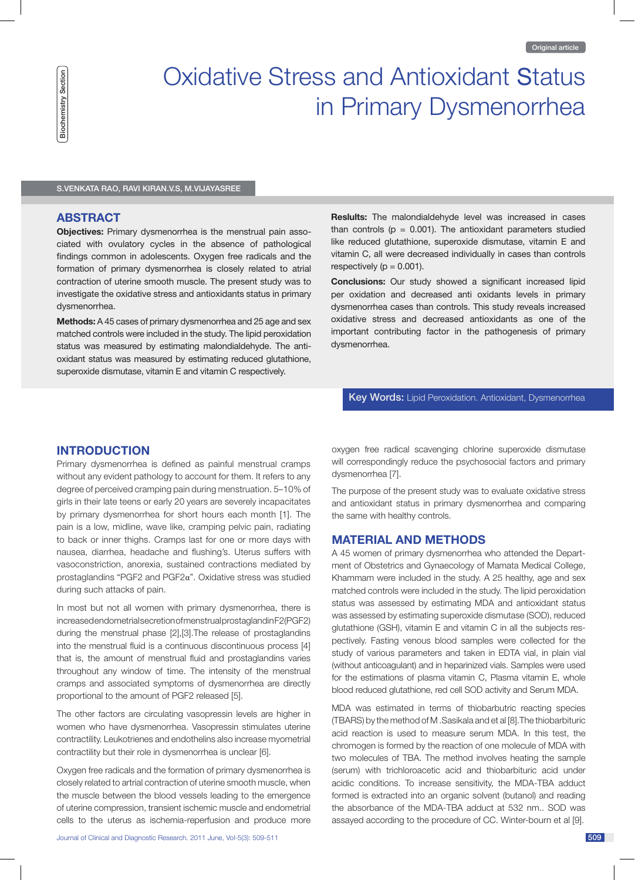# in Primary Dysmenorrhea Oxidative Stress and Antioxidant Status

S.Venkata RaO, RaVi kiRan.V.S, M.VijayaSRee

#### **AbsTRACT**

**Objectives:** Primary dysmenorrhea is the menstrual pain associated with ovulatory cycles in the absence of pathological findings common in adolescents. Oxygen free radicals and the formation of primary dysmenorrhea is closely related to atrial contraction of uterine smooth muscle. The present study was to investigate the oxidative stress and antioxidants status in primary dysmenorrhea.

**Methods:** A 45 cases of primary dysmenorrhea and 25 age and sex matched controls were included in the study. The lipid peroxidation status was measured by estimating malondialdehyde. The antioxidant status was measured by estimating reduced glutathione, superoxide dismutase, vitamin E and vitamin C respectively.

**Reslults:** The malondialdehyde level was increased in cases than controls ( $p = 0.001$ ). The antioxidant parameters studied like reduced glutathione, superoxide dismutase, vitamin E and vitamin C, all were decreased individually in cases than controls respectively ( $p = 0.001$ ).

**Conclusions:** Our study showed a significant increased lipid per oxidation and decreased anti oxidants levels in primary dysmenorrhea cases than controls. This study reveals increased oxidative stress and decreased antioxidants as one of the important contributing factor in the pathogenesis of primary dysmenorrhea.

## Key Words: Lipid Peroxidation. Antioxidant, Dysmenorrhea

# **INTRODUCTION**

Primary dysmenorrhea is defined as painful menstrual cramps without any evident pathology to account for them. It refers to any degree of perceived cramping pain during menstruation. 5–10% of girls in their late teens or early 20 years are severely incapacitates by primary dysmenorrhea for short hours each month [1]. The pain is a low, midline, wave like, cramping pelvic pain, radiating to back or inner thighs. Cramps last for one or more days with nausea, diarrhea, headache and flushing's. Uterus suffers with vasoconstriction, anorexia, sustained contractions mediated by prostaglandins "PGF2 and PGF2α". Oxidative stress was studied during such attacks of pain.

In most but not all women with primary dysmenorrhea, there is increased endometrial secretion of menstrual prostaglandin F2(PGF2) during the menstrual phase [2],[3].The release of prostaglandins into the menstrual fluid is a continuous discontinuous process [4] that is, the amount of menstrual fluid and prostaglandins varies throughout any window of time. The intensity of the menstrual cramps and associated symptoms of dysmenorrhea are directly proportional to the amount of PGF2 released [5].

The other factors are circulating vasopressin levels are higher in women who have dysmenorrhea. Vasopressin stimulates uterine contractility. Leukotrienes and endothelins also increase myometrial contractility but their role in dysmenorrhea is unclear [6].

Oxygen free radicals and the formation of primary dysmenorrhea is closely related to artrial contraction of uterine smooth muscle, when the muscle between the blood vessels leading to the emergence of uterine compression, transient ischemic muscle and endometrial cells to the uterus as ischemia-reperfusion and produce more oxygen free radical scavenging chlorine superoxide dismutase will correspondingly reduce the psychosocial factors and primary dysmenorrhea [7].

The purpose of the present study was to evaluate oxidative stress and antioxidant status in primary dysmenorrhea and comparing the same with healthy controls.

#### **MATeRIAl AND MeThODs**

A 45 women of primary dysmenorrhea who attended the Department of Obstetrics and Gynaecology of Mamata Medical College, Khammam were included in the study. A 25 healthy, age and sex matched controls were included in the study. The lipid peroxidation status was assessed by estimating MDA and antioxidant status was assessed by estimating superoxide dismutase (SOD), reduced glutathione (GSH), vitamin E and vitamin C in all the subjects respectively. Fasting venous blood samples were collected for the study of various parameters and taken in EDTA vial, in plain vial (without anticoagulant) and in heparinized vials. Samples were used for the estimations of plasma vitamin C, Plasma vitamin E, whole blood reduced glutathione, red cell SOD activity and Serum MDA.

MDA was estimated in terms of thiobarbutric reacting species (TBARS) by the method of M .Sasikala and et al [8].The thiobarbituric acid reaction is used to measure serum MDA. In this test, the chromogen is formed by the reaction of one molecule of MDA with two molecules of TBA. The method involves heating the sample (serum) with trichloroacetic acid and thiobarbituric acid under acidic conditions. To increase sensitivity, the MDA-TBA adduct formed is extracted into an organic solvent (butanol) and reading the absorbance of the MDA-TBA adduct at 532 nm.. SOD was assayed according to the procedure of CC. Winter-bourn et al [9].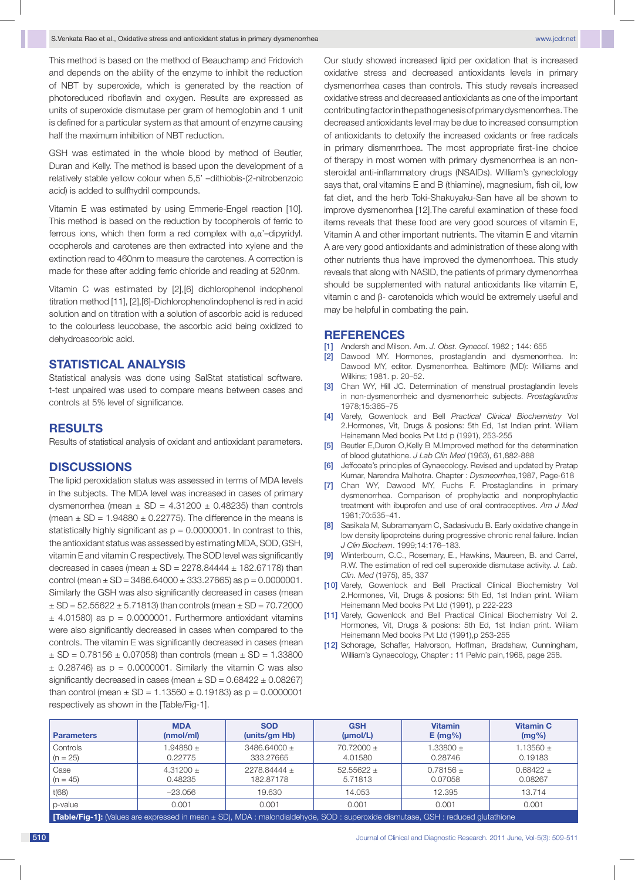This method is based on the method of Beauchamp and Fridovich and depends on the ability of the enzyme to inhibit the reduction of NBT by superoxide, which is generated by the reaction of photoreduced riboflavin and oxygen. Results are expressed as units of superoxide dismutase per gram of hemoglobin and 1 unit is defined for a particular system as that amount of enzyme causing half the maximum inhibition of NBT reduction.

GSH was estimated in the whole blood by method of Beutler, Duran and Kelly. The method is based upon the development of a relatively stable yellow colour when 5,5' –dithiobis-(2-nitrobenzoic acid) is added to sulfhydril compounds.

Vitamin E was estimated by using Emmerie-Engel reaction [10]. This method is based on the reduction by tocopherols of ferric to ferrous ions, which then form a red complex with α,α'–dipyridyl. ocopherols and carotenes are then extracted into xylene and the extinction read to 460nm to measure the carotenes. A correction is made for these after adding ferric chloride and reading at 520nm.

Vitamin C was estimated by [2],[6] dichlorophenol indophenol titration method [11], [2],[6]-Dichlorophenolindophenol is red in acid solution and on titration with a solution of ascorbic acid is reduced to the colourless leucobase, the ascorbic acid being oxidized to dehydroascorbic acid.

#### **Statistical analysis**

Statistical analysis was done using SalStat statistical software. t-test unpaired was used to compare means between cases and controls at 5% level of significance.

### **Results**

Results of statistical analysis of oxidant and antioxidant parameters.

### **Discussions**

The lipid peroxidation status was assessed in terms of MDA levels in the subjects. The MDA level was increased in cases of primary dysmenorrhea (mean  $\pm$  SD = 4.31200  $\pm$  0.48235) than controls (mean  $\pm$  SD = 1.94880  $\pm$  0.22775). The difference in the means is statistically highly significant as  $p = 0.0000001$ . In contrast to this, the antioxidant status was assessed by estimating MDA, SOD, GSH, vitamin E and vitamin C respectively. The SOD level was significantly decreased in cases (mean  $\pm$  SD = 2278.84444  $\pm$  182.67178) than control (mean  $\pm$  SD = 3486.64000  $\pm$  333.27665) as p = 0.0000001. Similarly the GSH was also significantly decreased in cases (mean  $\pm$  SD = 52.55622  $\pm$  5.71813) than controls (mean  $\pm$  SD = 70.72000  $\pm$  4.01580) as  $p = 0.0000001$ . Furthermore antioxidant vitamins were also significantly decreased in cases when compared to the controls. The vitamin E was significantly decreased in cases (mean  $\pm$  SD = 0.78156  $\pm$  0.07058) than controls (mean  $\pm$  SD = 1.33800  $\pm$  0.28746) as  $p = 0.0000001$ . Similarly the vitamin C was also significantly decreased in cases (mean  $\pm$  SD = 0.68422  $\pm$  0.08267) than control (mean  $\pm$  SD = 1.13560  $\pm$  0.19183) as p = 0.0000001 respectively as shown in the [Table/Fig-1].

Our study showed increased lipid per oxidation that is increased oxidative stress and decreased antioxidants levels in primary dysmenorrhea cases than controls. This study reveals increased oxidative stress and decreased antioxidants as one of the important contributing factor in the pathogenesis of primary dysmenorrhea. The decreased antioxidants level may be due to increased consumption of antioxidants to detoxify the increased oxidants or free radicals in primary dismenrrhoea. The most appropriate first-line choice of therapy in most women with primary dysmenorrhea is an nonsteroidal anti-inflammatory drugs (NSAIDs). William's gyneclology says that, oral vitamins E and B (thiamine), magnesium, fish oil, low fat diet, and the herb Toki-Shakuyaku-San have all be shown to improve dysmenorrhea [12].The careful examination of these food items reveals that these food are very good sources of vitamin E, Vitamin A and other important nutrients. The vitamin E and vitamin A are very good antioxidants and administration of these along with other nutrients thus have improved the dymenorrhoea. This study reveals that along with NASID, the patients of primary dymenorrhea should be supplemented with natural antioxidants like vitamin E, vitamin c and β- carotenoids which would be extremely useful and may be helpful in combating the pain.

#### **References**

- [1] Andersh and Milson. Am. *J. Obst. Gynecol*. 1982 ; 144: 655
- [2] Dawood MY. Hormones, prostaglandin and dysmenorrhea. In: Dawood MY, editor. Dysmenorrhea. Baltimore (MD): Williams and Wilkins; 1981. p. 20–52.
- [3] Chan WY, Hill JC. Determination of menstrual prostaglandin levels in non-dysmenorrheic and dysmenorrheic subjects. *Prostaglandins*  1978;15:365–75
- [4] Varely, Gowenlock and Bell *Practical Clinical Biochemistry* Vol 2.Hormones, Vit, Drugs & posions: 5th Ed, 1st Indian print. Wiliam Heinemann Med books Pvt Ltd p (1991), 253-255
- [5] Beutler E, Duron O, Kelly B M. Improved method for the determination of blood glutathione. *J Lab Clin Med* (1963), 61,882-888
- [6] Jeffcoate's principles of Gynaecology. Revised and updated by Pratap Kumar, Narendra Malhotra. Chapter : *Dysmeorrhea*,1987, Page-618
- [7] Chan WY, Dawood MY, Fuchs F. Prostaglandins in primary dysmenorrhea. Comparison of prophylactic and nonprophylactic treatment with ibuprofen and use of oral contraceptives. *Am J Med*  1981;70:535–41.
- [8] Sasikala M, Subramanyam C, Sadasivudu B. Early oxidative change in low density lipoproteins during progressive chronic renal failure. Indian *J Clin Biochem*. 1999;14:176–183.
- [9] Winterbourn, C.C., Rosemary, E., Hawkins, Maureen, B. and Carrel, R.W. The estimation of red cell superoxide dismutase activity. *J. Lab. Clin. Med* (1975), 85, 337
- [10] Varely, Gowenlock and Bell Practical Clinical Biochemistry Vol 2.Hormones, Vit, Drugs & posions: 5th Ed, 1st Indian print. Wiliam Heinemann Med books Pvt Ltd (1991), p 222-223
- [11] Varely, Gowenlock and Bell Practical Clinical Biochemistry Vol 2. Hormones, Vit, Drugs & posions: 5th Ed, 1st Indian print. Wiliam Heinemann Med books Pvt Ltd (1991),p 253-255
- [12] Schorage, Schaffer, Halvorson, Hoffman, Bradshaw, Cunningham, William's Gynaecology, Chapter : 11 Pelvic pain,1968, page 258.

| <b>Parameters</b>                                                                                                                       | <b>MDA</b>  | <b>SOD</b>     | <b>GSH</b>   | <b>Vitamin</b> | <b>Vitamin C</b> |
|-----------------------------------------------------------------------------------------------------------------------------------------|-------------|----------------|--------------|----------------|------------------|
|                                                                                                                                         | (mmol/ml)   | (units/gm Hb)  | (mol/L)      | $E$ (mg%)      | $(mg\%)$         |
| Controls                                                                                                                                | $.94880 +$  | $3486.64000 +$ | $70.72000 +$ | $1.33800 +$    | 1.13560 $\pm$    |
| $(n = 25)$                                                                                                                              | 0.22775     | 333.27665      | 4.01580      | 0.28746        | 0.19183          |
| Case                                                                                                                                    | $4.31200 +$ | $2278.84444 +$ | $52.55622 +$ | $0.78156 +$    | $0.68422 +$      |
| $(n = 45)$                                                                                                                              | 0.48235     | 182.87178      | 5.71813      | 0.07058        | 0.08267          |
| t(68)                                                                                                                                   | $-23.056$   | 19.630         | 14.053       | 12.395         | 13.714           |
| p-value                                                                                                                                 | 0.001       | 0.001          | 0.001        | 0.001          | 0.001            |
| <b>[Table/Fig-1]:</b> (Values are expressed in mean ± SD), MDA : malondialdehyde, SOD : superoxide dismutase, GSH : reduced glutathione |             |                |              |                |                  |